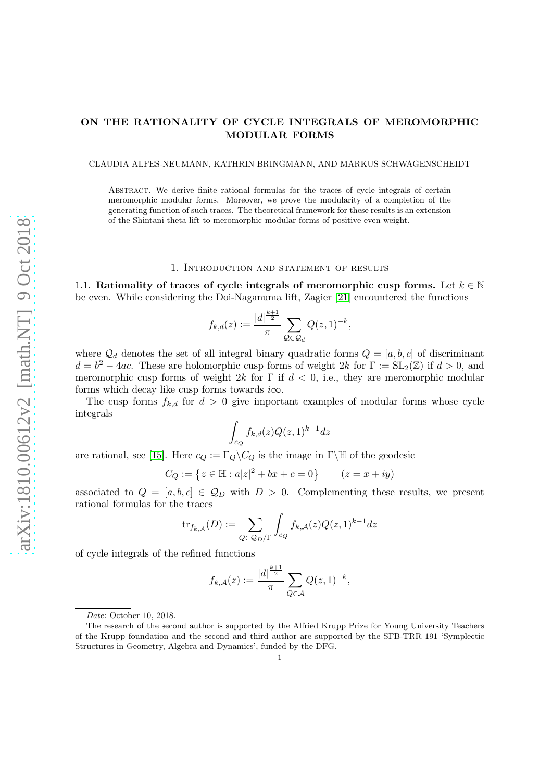## ON THE RATIONALITY OF CYCLE INTEGRALS OF MEROMORPHIC MODULAR FORMS

CLAUDIA ALFES-NEUMANN, KATHRIN BRINGMANN, AND MARKUS SCHWAGENSCHEIDT

Abstract. We derive finite rational formulas for the traces of cycle integrals of certain meromorphic modular forms. Moreover, we prove the modularity of a completion of the generating function of such traces. The theoretical framework for these results is an extension of the Shintani theta lift to meromorphic modular forms of positive even weight.

### 1. Introduction and statement of results

1.1. Rationality of traces of cycle integrals of meromorphic cusp forms. Let  $k \in \mathbb{N}$ be even. While considering the Doi-Naganuma lift, Zagier [\[21\]](#page-17-0) encountered the functions

$$
f_{k,d}(z) := \frac{|d|^{\frac{k+1}{2}}}{\pi} \sum_{\mathcal{Q} \in \mathcal{Q}_d} Q(z,1)^{-k},
$$

where  $\mathcal{Q}_d$  denotes the set of all integral binary quadratic forms  $Q = [a, b, c]$  of discriminant  $d = b^2 - 4ac$ . These are holomorphic cusp forms of weight 2k for  $\Gamma := SL_2(\mathbb{Z})$  if  $d > 0$ , and meromorphic cusp forms of weight 2k for  $\Gamma$  if  $d < 0$ , i.e., they are meromorphic modular forms which decay like cusp forms towards  $i\infty$ .

The cusp forms  $f_{k,d}$  for  $d > 0$  give important examples of modular forms whose cycle integrals

$$
\int_{c_Q} f_{k,d}(z) Q(z,1)^{k-1} dz
$$

are rational, see [\[15\]](#page-17-1). Here  $c_Q := \Gamma_Q \backslash C_Q$  is the image in Γ $\backslash \mathbb{H}$  of the geodesic

$$
C_Q := \{ z \in \mathbb{H} : a|z|^2 + bx + c = 0 \} \qquad (z = x + iy)
$$

associated to  $Q = [a, b, c] \in \mathcal{Q}_D$  with  $D > 0$ . Complementing these results, we present rational formulas for the traces

$$
\mathrm{tr}_{f_{k,\mathcal{A}}}(D):=\sum_{Q\in\mathcal{Q}_D/\Gamma}\int_{c_Q}f_{k,\mathcal{A}}(z)Q(z,1)^{k-1}dz
$$

of cycle integrals of the refined functions

$$
f_{k,A}(z) := \frac{|d|^{\frac{k+1}{2}}}{\pi} \sum_{Q \in \mathcal{A}} Q(z,1)^{-k},
$$

Date: October 10, 2018.

The research of the second author is supported by the Alfried Krupp Prize for Young University Teachers of the Krupp foundation and the second and third author are supported by the SFB-TRR 191 'Symplectic Structures in Geometry, Algebra and Dynamics', funded by the DFG.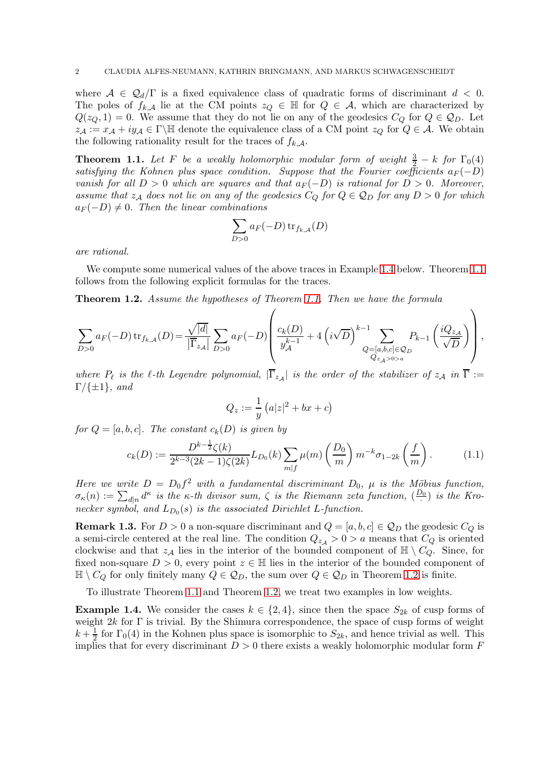where  $A \in \mathcal{Q}_d/\Gamma$  is a fixed equivalence class of quadratic forms of discriminant  $d < 0$ . The poles of  $f_{k,A}$  lie at the CM points  $z_Q \in \mathbb{H}$  for  $Q \in \mathcal{A}$ , which are characterized by  $Q(z_Q, 1) = 0$ . We assume that they do not lie on any of the geodesics  $C_Q$  for  $Q \in \mathcal{Q}_D$ . Let  $z_{\mathcal{A}} := x_{\mathcal{A}} + iy_{\mathcal{A}} \in \Gamma \backslash \mathbb{H}$  denote the equivalence class of a CM point  $z_Q$  for  $Q \in \mathcal{A}$ . We obtain the following rationality result for the traces of  $f_{k,\mathcal{A}}$ .

<span id="page-1-1"></span>**Theorem 1.1.** Let F be a weakly holomorphic modular form of weight  $\frac{3}{2} - k$  for  $\Gamma_0(4)$ satisfying the Kohnen plus space condition. Suppose that the Fourier coefficients  $a_F(-D)$ vanish for all  $D > 0$  which are squares and that  $a_F(-D)$  is rational for  $D > 0$ . Moreover, assume that  $z_A$  does not lie on any of the geodesics  $C_Q$  for  $Q \in \mathcal{Q}_D$  for any  $D > 0$  for which  $a_F(-D) \neq 0$ . Then the linear combinations

$$
\sum_{D>0} a_F(-D) \operatorname{tr}_{f_{k,A}}(D)
$$

are rational.

We compute some numerical values of the above traces in Example [1.4](#page-1-0) below. Theorem [1.1](#page-1-1) follows from the following explicit formulas for the traces.

<span id="page-1-2"></span>Theorem 1.2. Assume the hypotheses of Theorem [1.1.](#page-1-1) Then we have the formula

$$
\sum_{D>0} a_F(-D) \operatorname{tr}_{f_{k,A}}(D) = \frac{\sqrt{|d|}}{|\overline{\Gamma}_{z_A}|}\sum_{D>0} a_F(-D) \left( \frac{c_k(D)}{y_A^{k-1}} + 4\left(i\sqrt{D}\right)^{k-1}\sum_{\substack{Q=[a,b,c]\in\mathcal{Q}_D \\ Q_{z_A>0>a}}} P_{k-1}\left(\frac{iQ_{z_A}}{\sqrt{D}}\right) \right),
$$

where  $P_{\ell}$  is the  $\ell$ -th Legendre polynomial,  $|\Gamma_{z_{\mathcal{A}}}|$  is the order of the stabilizer of  $z_{\mathcal{A}}$  in  $\Gamma :=$  $\Gamma/\{\pm 1\}$ , and

$$
Q_z := \frac{1}{y} \left( a|z|^2 + bx + c \right)
$$

for  $Q = [a, b, c]$ . The constant  $c_k(D)$  is given by

$$
c_k(D) := \frac{D^{k-\frac{1}{2}}\zeta(k)}{2^{k-3}(2k-1)\zeta(2k)}L_{D_0}(k)\sum_{m|f}\mu(m)\left(\frac{D_0}{m}\right)m^{-k}\sigma_{1-2k}\left(\frac{f}{m}\right). \tag{1.1}
$$

<span id="page-1-3"></span> $\overline{\phantom{0}}$ 

Here we write  $D = D_0 f^2$  with a fundamental discriminant  $D_0$ ,  $\mu$  is the Möbius function,  $\sigma_{\kappa}(n) := \sum_{d|n} d^{\kappa}$  is the  $\kappa$ -th divisor sum,  $\zeta$  is the Riemann zeta function,  $(\frac{D_0}{D_0})$  $\frac{20}{1}$  is the Kronecker symbol, and  $L_{D_0}(s)$  is the associated Dirichlet L-function.

**Remark 1.3.** For  $D > 0$  a non-square discriminant and  $Q = [a, b, c] \in Q_D$  the geodesic  $C_Q$  is a semi-circle centered at the real line. The condition  $Q_{z\mu} > 0 > a$  means that  $C_Q$  is oriented clockwise and that  $z_{\mathcal{A}}$  lies in the interior of the bounded component of  $\mathbb{H} \setminus C_Q$ . Since, for fixed non-square  $D > 0$ , every point  $z \in \mathbb{H}$  lies in the interior of the bounded component of  $\mathbb{H} \setminus C_Q$  for only finitely many  $Q \in \mathcal{Q}_D$ , the sum over  $Q \in \mathcal{Q}_D$  in Theorem [1.2](#page-1-2) is finite.

To illustrate Theorem [1.1](#page-1-1) and Theorem [1.2,](#page-1-2) we treat two examples in low weights.

<span id="page-1-0"></span>**Example 1.4.** We consider the cases  $k \in \{2, 4\}$ , since then the space  $S_{2k}$  of cusp forms of weight  $2k$  for  $\Gamma$  is trivial. By the Shimura correspondence, the space of cusp forms of weight  $k + \frac{1}{2}$  for  $\Gamma_0(4)$  in the Kohnen plus space is isomorphic to  $S_{2k}$ , and hence trivial as well. This implies that for every discriminant  $D > 0$  there exists a weakly holomorphic modular form F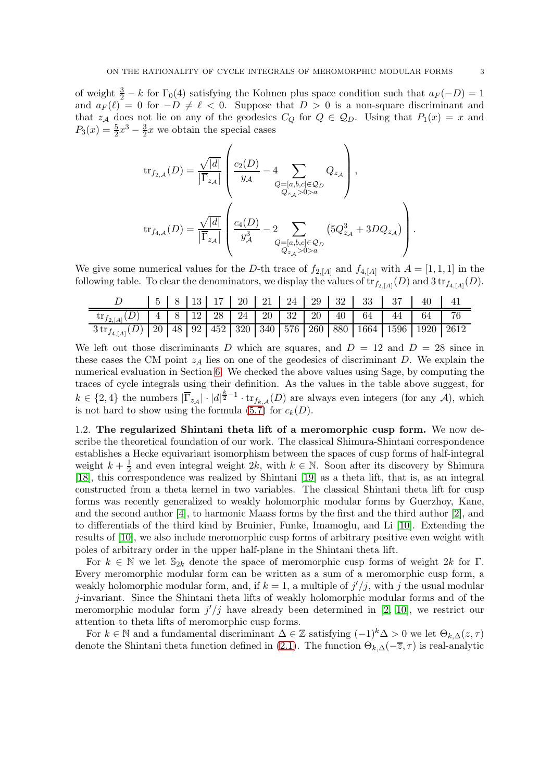of weight  $\frac{3}{2} - k$  for  $\Gamma_0(4)$  satisfying the Kohnen plus space condition such that  $a_F(-D) = 1$ and  $a_F(\ell) = 0$  for  $-D \neq \ell < 0$ . Suppose that  $D > 0$  is a non-square discriminant and that  $z_A$  does not lie on any of the geodesics  $C_Q$  for  $Q \in \mathcal{Q}_D$ . Using that  $P_1(x) = x$  and  $P_3(x) = \frac{5}{2}x^3 - \frac{3}{2}x$  we obtain the special cases

$$
\begin{split} \operatorname{tr}_{f_{2,A}}(D) &= \frac{\sqrt{|d|}}{\left|\overline{\Gamma}_{z_{\mathcal{A}}}\right|} \left(\frac{c_{2}(D)}{y_{\mathcal{A}}}-4\sum_{\substack{Q=[a,b,c]\in\mathcal{Q}_{D}\\ Q_{z_{\mathcal{A}}}>0>a}}Q_{z_{\mathcal{A}}}\right),\\ \operatorname{tr}_{f_{4,A}}(D) &= \frac{\sqrt{|d|}}{\left|\overline{\Gamma}_{z_{\mathcal{A}}}\right|}\left(\frac{c_{4}(D)}{y_{\mathcal{A}}^{3}}-2\sum_{\substack{Q=[a,b,c]\in\mathcal{Q}_{D}\\ Q_{z_{\mathcal{A}}}>0>a}}\left(5Q_{z_{\mathcal{A}}}^{3}+3DQ_{z_{\mathcal{A}}}\right)\right). \end{split}
$$

We give some numerical values for the D-th trace of  $f_{2,[A]}$  and  $f_{4,[A]}$  with  $A = [1,1,1]$  in the following table. To clear the denominators, we display the values of  $\text{tr}_{f_{2,[A]}}(D)$  and  $3\text{tr}_{f_{4,[A]}}(D)$ .

|                                                                                            |  |  |  |  |  | 5   8   13   17   20   21   24   29   32   33   37   40   41 |  |
|--------------------------------------------------------------------------------------------|--|--|--|--|--|--------------------------------------------------------------|--|
| $\text{tr}_{f_{2, [A]}}(D)$   4   8   12   28   24   20   32   20   40   64   44   64   76 |  |  |  |  |  |                                                              |  |
| $3 \text{tr}_{f_{4,[A]}}(D)$ 20 48 92 452 320 340 576 260 880 1664 1596 1920 2612          |  |  |  |  |  |                                                              |  |

We left out those discriminants D which are squares, and  $D = 12$  and  $D = 28$  since in these cases the CM point  $z_A$  lies on one of the geodesics of discriminant D. We explain the numerical evaluation in Section [6.](#page-16-0) We checked the above values using Sage, by computing the traces of cycle integrals using their definition. As the values in the table above suggest, for  $k \in \{2, 4\}$  the numbers  $|\overline{\Gamma}_{z_{\mathcal{A}}}|\cdot|d|^{\frac{k}{2}-1}\cdot \text{tr}_{f_{k,\mathcal{A}}}(D)$  are always even integers (for any A), which is not hard to show using the formula [\(5.7\)](#page-16-1) for  $c_k(D)$ .

1.2. The regularized Shintani theta lift of a meromorphic cusp form. We now describe the theoretical foundation of our work. The classical Shimura-Shintani correspondence establishes a Hecke equivariant isomorphism between the spaces of cusp forms of half-integral weight  $k + \frac{1}{2}$  and even integral weight 2k, with  $k \in \mathbb{N}$ . Soon after its discovery by Shimura [\[18\]](#page-17-2), this correspondence was realized by Shintani [\[19\]](#page-17-3) as a theta lift, that is, as an integral constructed from a theta kernel in two variables. The classical Shintani theta lift for cusp forms was recently generalized to weakly holomorphic modular forms by Guerzhoy, Kane, and the second author [\[4\]](#page-17-4), to harmonic Maass forms by the first and the third author [\[2\]](#page-17-5), and to differentials of the third kind by Bruinier, Funke, Imamoglu, and Li [\[10\]](#page-17-6). Extending the results of [\[10\]](#page-17-6), we also include meromorphic cusp forms of arbitrary positive even weight with poles of arbitrary order in the upper half-plane in the Shintani theta lift.

For  $k \in \mathbb{N}$  we let  $\mathbb{S}_{2k}$  denote the space of meromorphic cusp forms of weight  $2k$  for  $\Gamma$ . Every meromorphic modular form can be written as a sum of a meromorphic cusp form, a weakly holomorphic modular form, and, if  $k = 1$ , a multiple of  $j'/j$ , with j the usual modular j-invariant. Since the Shintani theta lifts of weakly holomorphic modular forms and of the meromorphic modular form  $j' / j$  have already been determined in [\[2,](#page-17-5) [10\]](#page-17-6), we restrict our attention to theta lifts of meromorphic cusp forms.

For  $k \in \mathbb{N}$  and a fundamental discriminant  $\Delta \in \mathbb{Z}$  satisfying  $(-1)^k \Delta > 0$  we let  $\Theta_{k,\Delta}(z,\tau)$ denote the Shintani theta function defined in [\(2.1\)](#page-5-0). The function  $\Theta_{k,\Delta}(-\overline{z},\tau)$  is real-analytic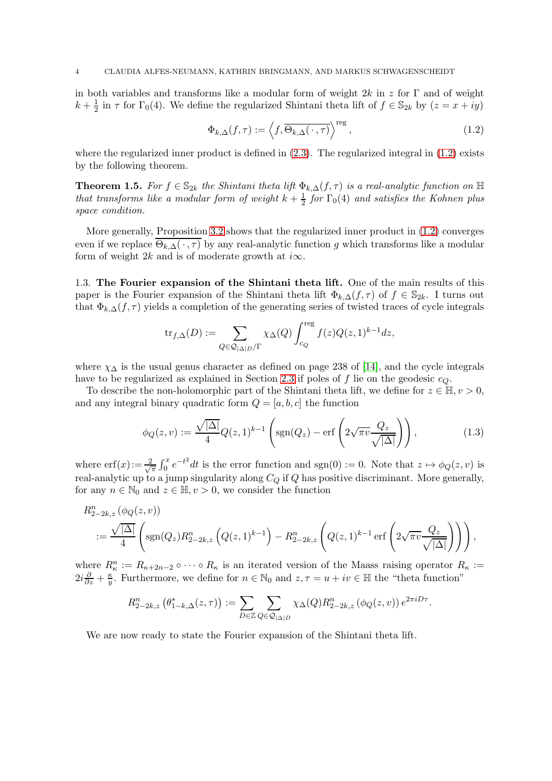in both variables and transforms like a modular form of weight  $2k$  in z for Γ and of weight  $k+\frac{1}{2}$  $\frac{1}{2}$  in  $\tau$  for  $\Gamma_0(4)$ . We define the regularized Shintani theta lift of  $f \in \mathbb{S}_{2k}$  by  $(z = x + iy)$ 

<span id="page-3-0"></span>
$$
\Phi_{k,\Delta}(f,\tau) := \left\langle f, \overline{\Theta_{k,\Delta}(\cdot,\tau)} \right\rangle^{\text{reg}},\tag{1.2}
$$

where the regularized inner product is defined in  $(2.3)$ . The regularized integral in  $(1.2)$  exists by the following theorem.

<span id="page-3-1"></span>**Theorem 1.5.** For  $f \in \mathbb{S}_{2k}$  the Shintani theta lift  $\Phi_k \Delta(f, \tau)$  is a real-analytic function on  $\mathbb{H}$ that transforms like a modular form of weight  $k+\frac{1}{2}$  $\frac{1}{2}$  for  $\Gamma_0(4)$  and satisfies the Kohnen plus space condition.

More generally, Proposition [3.2](#page-7-0) shows that the regularized inner product in [\(1.2\)](#page-3-0) converges even if we replace  $\overline{\Theta_{k,\Delta}(\cdot,\tau)}$  by any real-analytic function g which transforms like a modular form of weight 2k and is of moderate growth at  $i\infty$ .

1.3. The Fourier expansion of the Shintani theta lift. One of the main results of this paper is the Fourier expansion of the Shintani theta lift  $\Phi_{k,\Delta}(f,\tau)$  of  $f \in \mathbb{S}_{2k}$ . I turns out that  $\Phi_{k,\Delta}(f,\tau)$  yields a completion of the generating series of twisted traces of cycle integrals

$$
\text{tr}_{f,\Delta}(D):=\sum_{Q\in\mathcal{Q}_{|\Delta|D}/\Gamma}\chi_{\Delta}(Q)\int_{c_Q}^{\text{reg}}f(z)Q(z,1)^{k-1}dz,
$$

where  $\chi_{\Delta}$  is the usual genus character as defined on page 238 of [\[14\]](#page-17-7), and the cycle integrals have to be regularized as explained in Section [2.3](#page-5-2) if poles of f lie on the geodesic  $c_Q$ .

To describe the non-holomorphic part of the Shintani theta lift, we define for  $z \in \mathbb{H}, v > 0$ , and any integral binary quadratic form  $Q = [a, b, c]$  the function

$$
\phi_Q(z,v) := \frac{\sqrt{|\Delta|}}{4} Q(z,1)^{k-1} \left( \text{sgn}(Q_z) - \text{erf}\left( 2\sqrt{\pi v} \frac{Q_z}{\sqrt{|\Delta|}} \right) \right),\tag{1.3}
$$

<span id="page-3-2"></span>.

where  $\text{erf}(x) := \frac{2}{\sqrt{3}}$  $\frac{d}{dx}\int_0^x e^{-t^2}dt$  is the error function and sgn(0) := 0. Note that  $z \mapsto \phi_Q(z, v)$  is real-analytic up to a jump singularity along  $C_Q$  if Q has positive discriminant. More generally, for any  $n \in \mathbb{N}_0$  and  $z \in \mathbb{H}, v > 0$ , we consider the function

$$
R_{2-2k,z}^{n}(\phi_{Q}(z,v))
$$
  
 :=  $\frac{\sqrt{|\Delta|}}{4}\left(\text{sgn}(Q_{z})R_{2-2k,z}^{n}\left(Q(z,1)^{k-1}\right)-R_{2-2k,z}^{n}\left(Q(z,1)^{k-1}\text{ erf}\left(2\sqrt{\pi v}\frac{Q_{z}}{\sqrt{|\Delta|}}\right)\right)\right),$ 

where  $R_{\kappa}^n := R_{\kappa+2n-2} \circ \cdots \circ R_{\kappa}$  is an iterated version of the Maass raising operator  $R_{\kappa} :=$  $2i\frac{\partial}{\partial z}+\frac{\kappa}{y}$  $\frac{\kappa}{y}$ . Furthermore, we define for  $n \in \mathbb{N}_0$  and  $z, \tau = u + iv \in \mathbb{H}$  the "theta function"

$$
R_{2-2k,z}^n\left(\theta^*_{1-k,\Delta}(z,\tau)\right) := \sum_{D \in \mathbb{Z}} \sum_{Q \in \mathcal{Q}_{|\Delta|D}} \chi_{\Delta}(Q) R_{2-2k,z}^n\left(\phi_Q(z,v)\right) e^{2\pi i D\tau}
$$

We are now ready to state the Fourier expansion of the Shintani theta lift.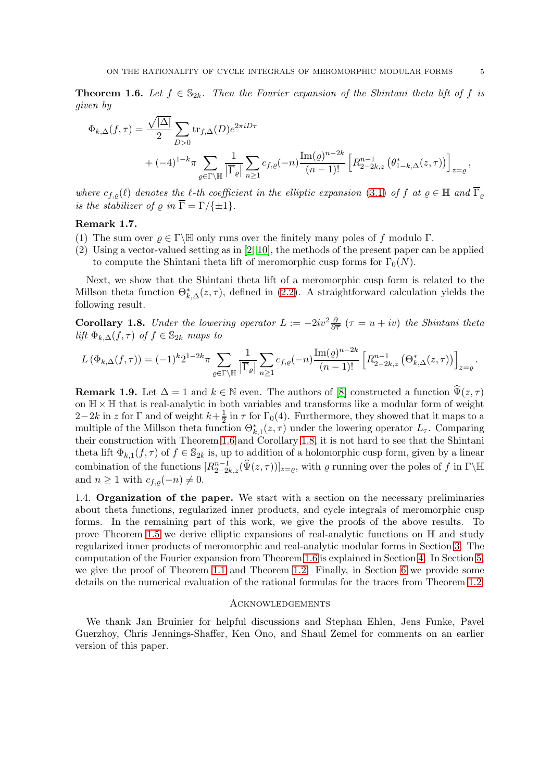<span id="page-4-0"></span>**Theorem 1.6.** Let  $f \in \mathbb{S}_{2k}$ . Then the Fourier expansion of the Shintani theta lift of f is given by

$$
\Phi_{k,\Delta}(f,\tau) = \frac{\sqrt{|\Delta|}}{2} \sum_{D>0} \text{tr}_{f,\Delta}(D) e^{2\pi i D\tau} \n+ (-4)^{1-k} \pi \sum_{\varrho \in \Gamma \backslash \mathbb{H}} \frac{1}{|\overline{\Gamma}_{\varrho}|} \sum_{n \ge 1} c_{f,\varrho}(-n) \frac{\text{Im}(\varrho)^{n-2k}}{(n-1)!} \left[ R_{2-2k,z}^{n-1} \left( \theta_{1-k,\Delta}^*(z,\tau) \right) \right]_{z=\varrho},
$$

where  $c_{f,\varrho}(\ell)$  denotes the  $\ell$ -th coefficient in the elliptic expansion [\(3.1\)](#page-6-0) of f at  $\varrho \in \mathbb{H}$  and  $\overline{\Gamma}_{\varrho}$ is the stabilizer of  $\rho$  in  $\overline{\Gamma} = \Gamma / \{ \pm 1 \}.$ 

### Remark 1.7.

- (1) The sum over  $\rho \in \Gamma \backslash \mathbb{H}$  only runs over the finitely many poles of f modulo  $\Gamma$ .
- (2) Using a vector-valued setting as in [\[2,](#page-17-5) [10\]](#page-17-6), the methods of the present paper can be applied to compute the Shintani theta lift of meromorphic cusp forms for  $\Gamma_0(N)$ .

Next, we show that the Shintani theta lift of a meromorphic cusp form is related to the Millson theta function  $\Theta_{k,\Delta}^*(z,\tau)$ , defined in [\(2.2\)](#page-5-3). A straightforward calculation yields the following result.

<span id="page-4-1"></span>**Corollary 1.8.** Under the lowering operator  $L := -2iv^2 \frac{\partial}{\partial \overline{\tau}} (\tau = u + iv)$  the Shintani theta lift  $\Phi_{k,\Delta}(f,\tau)$  of  $f \in \mathbb{S}_{2k}$  maps to

$$
L\left(\Phi_{k,\Delta}(f,\tau)\right) = (-1)^k 2^{1-2k} \pi \sum_{\varrho \in \Gamma \backslash \mathbb{H}} \frac{1}{\left|\overline{\Gamma}_{\varrho}\right|} \sum_{n \ge 1} c_{f,\varrho}(-n) \frac{\operatorname{Im}(\varrho)^{n-2k}}{(n-1)!} \left[R_{2-2k,z}^{n-1}\left(\Theta_{k,\Delta}^*(z,\tau)\right)\right]_{z=\varrho}.
$$

**Remark 1.9.** Let  $\Delta = 1$  and  $k \in \mathbb{N}$  even. The authors of [\[8\]](#page-17-8) constructed a function  $\widehat{\Psi}(z, \tau)$ on  $\mathbb{H} \times \mathbb{H}$  that is real-analytic in both variables and transforms like a modular form of weight  $2-2k$  in z for  $\Gamma$  and of weight  $k+\frac{1}{2}$  $\frac{1}{2}$  in  $\tau$  for  $\Gamma_0(4)$ . Furthermore, they showed that it maps to a multiple of the Millson theta function  $\Theta_{k,1}^*(z,\tau)$  under the lowering operator  $L_{\tau}$ . Comparing their construction with Theorem [1.6](#page-4-0) and Corollary [1.8,](#page-4-1) it is not hard to see that the Shintani theta lift  $\Phi_{k,1}(f,\tau)$  of  $f \in \mathbb{S}_{2k}$  is, up to addition of a holomorphic cusp form, given by a linear combination of the functions  $[R_{2-2k,z}^{n-1}(\hat{\Psi}(z,\tau))]_{z=\varrho}$ , with  $\varrho$  running over the poles of f in  $\Gamma\backslash\mathbb{H}$ and  $n \geq 1$  with  $c_{f,\varrho}(-n) \neq 0$ .

1.4. Organization of the paper. We start with a section on the necessary preliminaries about theta functions, regularized inner products, and cycle integrals of meromorphic cusp forms. In the remaining part of this work, we give the proofs of the above results. To prove Theorem [1.5](#page-3-1) we derive elliptic expansions of real-analytic functions on  $\mathbb H$  and study regularized inner products of meromorphic and real-analytic modular forms in Section [3.](#page-6-1) The computation of the Fourier expansion from Theorem [1.6](#page-4-0) is explained in Section [4.](#page-8-0) In Section [5,](#page-12-0) we give the proof of Theorem [1.1](#page-1-1) and Theorem [1.2.](#page-1-2) Finally, in Section [6](#page-16-0) we provide some details on the numerical evaluation of the rational formulas for the traces from Theorem [1.2.](#page-1-2)

### **ACKNOWLEDGEMENTS**

We thank Jan Bruinier for helpful discussions and Stephan Ehlen, Jens Funke, Pavel Guerzhoy, Chris Jennings-Shaffer, Ken Ono, and Shaul Zemel for comments on an earlier version of this paper.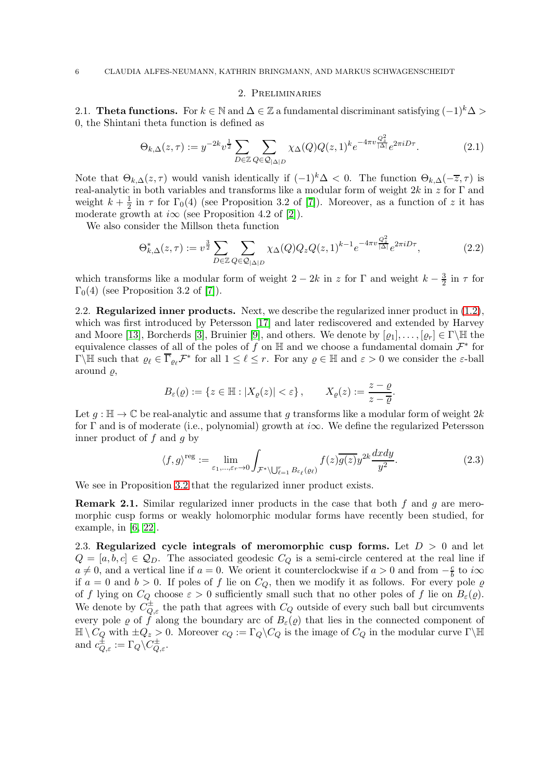#### <span id="page-5-3"></span><span id="page-5-0"></span>2. Preliminaries

2.1. Theta functions. For  $k \in \mathbb{N}$  and  $\Delta \in \mathbb{Z}$  a fundamental discriminant satisfying  $(-1)^k \Delta >$ 0, the Shintani theta function is defined as

$$
\Theta_{k,\Delta}(z,\tau) := y^{-2k} v^{\frac{1}{2}} \sum_{D \in \mathbb{Z}} \sum_{Q \in \mathcal{Q}_{|\Delta|D}} \chi_{\Delta}(Q) Q(z,1)^k e^{-4\pi v \frac{Q_z^2}{|\Delta|}} e^{2\pi i D\tau}.
$$
\n(2.1)

Note that  $\Theta_{k,\Delta}(z,\tau)$  would vanish identically if  $(-1)^k\Delta < 0$ . The function  $\Theta_{k,\Delta}(-\overline{z},\tau)$  is real-analytic in both variables and transforms like a modular form of weight  $2k$  in z for  $\Gamma$  and weight  $k+\frac{1}{2}$  $\frac{1}{2}$  in  $\tau$  for  $\Gamma_0(4)$  (see Proposition 3.2 of [\[7\]](#page-17-9)). Moreover, as a function of z it has moderate growth at  $i\infty$  (see Proposition 4.2 of [\[2\]](#page-17-5)).

We also consider the Millson theta function

$$
\Theta_{k,\Delta}^*(z,\tau) := v^{\frac{3}{2}} \sum_{D \in \mathbb{Z}} \sum_{Q \in \mathcal{Q}_{|\Delta|D}} \chi_{\Delta}(Q) Q_z Q(z,1)^{k-1} e^{-4\pi v \frac{Q_z^2}{|\Delta|}} e^{2\pi i D\tau},\tag{2.2}
$$

which transforms like a modular form of weight  $2 - 2k$  in z for  $\Gamma$  and weight  $k - \frac{3}{2}$  $rac{3}{2}$  in  $\tau$  for  $\Gamma_0(4)$  (see Proposition 3.2 of [\[7\]](#page-17-9)).

2.2. Regularized inner products. Next, we describe the regularized inner product in  $(1.2)$ , which was first introduced by Petersson [\[17\]](#page-17-10) and later rediscovered and extended by Harvey and Moore [\[13\]](#page-17-11), Borcherds [\[3\]](#page-17-12), Bruinier [\[9\]](#page-17-13), and others. We denote by  $[\varrho_1], \ldots, [\varrho_r] \in \Gamma \backslash \mathbb{H}$  the equivalence classes of all of the poles of f on  $\mathbb{H}$  and we choose a fundamental domain  $\mathcal{F}^*$  for  $\Gamma\backslash\mathbb{H}$  such that  $\varrho_\ell \in \overline{\Gamma}_{\varrho_\ell} \mathcal{F}^*$  for all  $1 \leq \ell \leq r$ . For any  $\varrho \in \mathbb{H}$  and  $\varepsilon > 0$  we consider the  $\varepsilon$ -ball around  $\rho$ ,

$$
B_{\varepsilon}(\varrho) := \{ z \in \mathbb{H} : |X_{\varrho}(z)| < \varepsilon \}, \qquad X_{\varrho}(z) := \frac{z - \varrho}{z - \overline{\varrho}}.
$$

Let  $g : \mathbb{H} \to \mathbb{C}$  be real-analytic and assume that g transforms like a modular form of weight  $2k$ for Γ and is of moderate (i.e., polynomial) growth at  $i\infty$ . We define the regularized Petersson inner product of f and g by

<span id="page-5-1"></span>
$$
\langle f, g \rangle^{\text{reg}} := \lim_{\varepsilon_1, \dots, \varepsilon_r \to 0} \int_{\mathcal{F}^* \setminus \bigcup_{\ell=1}^r B_{\varepsilon_\ell}(\varrho_\ell)} f(z) \overline{g(z)} y^{2k} \frac{dxdy}{y^2}.
$$
 (2.3)

We see in Proposition [3.2](#page-7-0) that the regularized inner product exists.

**Remark 2.1.** Similar regularized inner products in the case that both  $f$  and  $g$  are meromorphic cusp forms or weakly holomorphic modular forms have recently been studied, for example, in [\[6,](#page-17-14) [22\]](#page-17-15).

<span id="page-5-2"></span>2.3. Regularized cycle integrals of meromorphic cusp forms. Let  $D > 0$  and let  $Q = [a, b, c] \in \mathcal{Q}_D$ . The associated geodesic  $C_Q$  is a semi-circle centered at the real line if  $a \neq 0$ , and a vertical line if  $a = 0$ . We orient it counterclockwise if  $a > 0$  and from  $-\frac{c}{b}$  $\frac{c}{b}$  to  $i\infty$ if  $a = 0$  and  $b > 0$ . If poles of f lie on  $C_Q$ , then we modify it as follows. For every pole  $\varrho$ of f lying on  $C_Q$  choose  $\varepsilon > 0$  sufficiently small such that no other poles of f lie on  $B_{\varepsilon}(\varrho)$ . We denote by  $C_{Q,\varepsilon}^{\pm}$  the path that agrees with  $C_Q$  outside of every such ball but circumvents every pole  $\varrho$  of f along the boundary arc of  $B_{\varepsilon}(\varrho)$  that lies in the connected component of  $\mathbb{H} \setminus C_Q$  with  $\pm Q_z > 0$ . Moreover  $c_Q := \Gamma_Q \setminus C_Q$  is the image of  $C_Q$  in the modular curve  $\Gamma \setminus \mathbb{H}$ and  $c_{Q,\varepsilon}^{\pm} := \Gamma_Q \backslash C_{Q,\varepsilon}^{\pm}$ .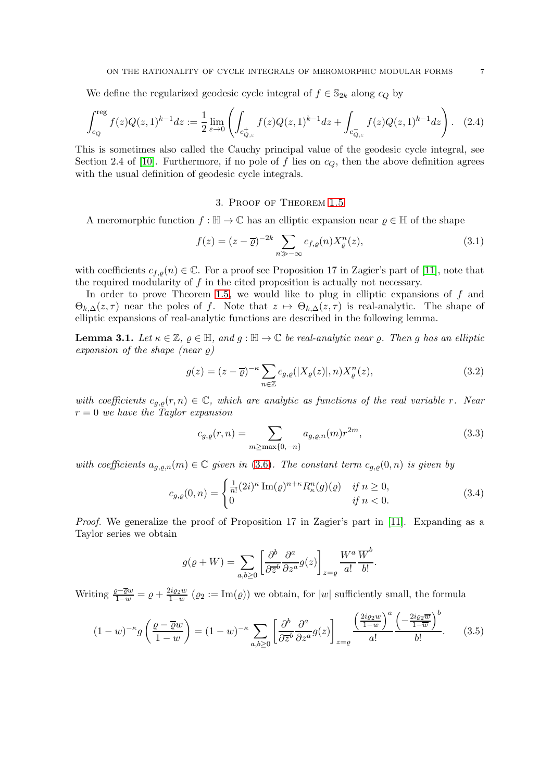We define the regularized geodesic cycle integral of  $f \in \mathbb{S}_{2k}$  along  $c_Q$  by

$$
\int_{c_Q}^{reg} f(z)Q(z,1)^{k-1}dz := \frac{1}{2} \lim_{\varepsilon \to 0} \left( \int_{c_{Q,\varepsilon}^+} f(z)Q(z,1)^{k-1}dz + \int_{c_{Q,\varepsilon}^-} f(z)Q(z,1)^{k-1}dz \right). \tag{2.4}
$$

This is sometimes also called the Cauchy principal value of the geodesic cycle integral, see Section 2.4 of [\[10\]](#page-17-6). Furthermore, if no pole of f lies on  $c_Q$ , then the above definition agrees with the usual definition of geodesic cycle integrals.

### <span id="page-6-0"></span>3. Proof of Theorem [1.5](#page-3-1)

<span id="page-6-1"></span>A meromorphic function  $f : \mathbb{H} \to \mathbb{C}$  has an elliptic expansion near  $\rho \in \mathbb{H}$  of the shape

$$
f(z) = (z - \overline{\varrho})^{-2k} \sum_{n \gg -\infty} c_{f,\varrho}(n) X_{\varrho}^n(z), \tag{3.1}
$$

with coefficients  $c_{f,\rho}(n) \in \mathbb{C}$ . For a proof see Proposition 17 in Zagier's part of [\[11\]](#page-17-16), note that the required modularity of  $f$  in the cited proposition is actually not necessary.

In order to prove Theorem [1.5,](#page-3-1) we would like to plug in elliptic expansions of  $f$  and  $\Theta_{k,\Delta}(z,\tau)$  near the poles of f. Note that  $z \mapsto \Theta_{k,\Delta}(z,\tau)$  is real-analytic. The shape of elliptic expansions of real-analytic functions are described in the following lemma.

<span id="page-6-3"></span>**Lemma 3.1.** Let  $\kappa \in \mathbb{Z}$ ,  $\varrho \in \mathbb{H}$ , and  $g : \mathbb{H} \to \mathbb{C}$  be real-analytic near  $\varrho$ . Then g has an elliptic expansion of the shape (near  $\rho$ )

$$
g(z) = (z - \overline{\varrho})^{-\kappa} \sum_{n \in \mathbb{Z}} c_{g,\varrho}(|X_{\varrho}(z)|, n) X_{\varrho}^n(z), \tag{3.2}
$$

with coefficients  $c_{g,\rho}(r,n) \in \mathbb{C}$ , which are analytic as functions of the real variable r. Near  $r = 0$  we have the Taylor expansion

<span id="page-6-6"></span><span id="page-6-5"></span><span id="page-6-4"></span>
$$
c_{g,\varrho}(r,n) = \sum_{m \ge \max\{0,-n\}} a_{g,\varrho,n}(m)r^{2m},\tag{3.3}
$$

with coefficients  $a_{g,\rho,n}(m) \in \mathbb{C}$  given in [\(3.6\)](#page-7-1). The constant term  $c_{g,\rho}(0,n)$  is given by

$$
c_{g,\varrho}(0,n) = \begin{cases} \frac{1}{n!} (2i)^{\kappa} \operatorname{Im}(\varrho)^{n+\kappa} R_{\kappa}^n(g)(\varrho) & \text{if } n \ge 0, \\ 0 & \text{if } n < 0. \end{cases}
$$
 (3.4)

Proof. We generalize the proof of Proposition 17 in Zagier's part in [\[11\]](#page-17-16). Expanding as a Taylor series we obtain

<span id="page-6-2"></span>
$$
g(\varrho + W) = \sum_{a,b \ge 0} \left[ \frac{\partial^b}{\partial \overline{z}^b} \frac{\partial^a}{\partial z^a} g(z) \right]_{z=\varrho} \frac{W^a}{a!} \frac{\overline{W}^b}{b!}.
$$

Writing  $\frac{\varrho-\overline{\varrho}w}{1-w}=\varrho+\frac{2i\varrho_2w}{1-w}$  $\frac{u_{\varrho_2 w}}{1-w}$  ( $\varrho_2 := \text{Im}(\varrho)$ ) we obtain, for  $|w|$  sufficiently small, the formula

$$
(1-w)^{-\kappa} g\left(\frac{\varrho-\overline{\varrho}w}{1-w}\right) = (1-w)^{-\kappa} \sum_{a,b\geq 0} \left[\frac{\partial^b}{\partial \overline{z}^b} \frac{\partial^a}{\partial z^a} g(z)\right]_{z=\varrho} \frac{\left(\frac{2ig_2w}{1-w}\right)^a \left(-\frac{2ig_2\overline{w}}{1-\overline{w}}\right)^b}{a!}.
$$
 (3.5)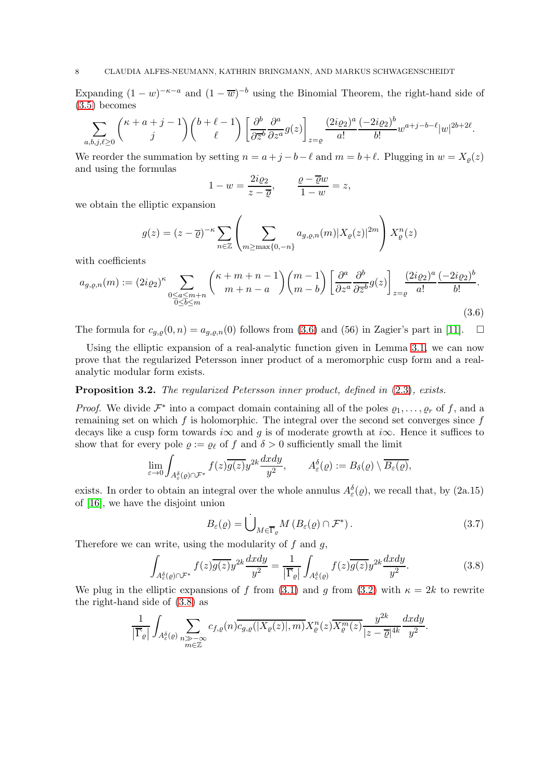Expanding  $(1 - w)^{-\kappa - a}$  and  $(1 - \overline{w})^{-b}$  using the Binomial Theorem, the right-hand side of [\(3.5\)](#page-6-2) becomes

$$
\sum_{a,b,j,\ell\geq 0} \binom{\kappa+a+j-1}{j} \binom{b+\ell-1}{\ell}\left[\frac{\partial^b}{\partial \overline{z}^b}\frac{\partial^a}{\partial z^a}g(z)\right]_{z=\varrho}\frac{(2i\varrho_2)^a}{a!}\frac{(-2i\varrho_2)^b}{b!}w^{a+j-b-\ell}|w|^{2b+2\ell}.
$$

We reorder the summation by setting  $n = a + j - b - \ell$  and  $m = b + \ell$ . Plugging in  $w = X<sub>o</sub>(z)$ and using the formulas

<span id="page-7-1"></span>
$$
1 - w = \frac{2i\varrho_2}{z - \overline{\varrho}}, \qquad \frac{\varrho - \overline{\varrho}w}{1 - w} = z,
$$

we obtain the elliptic expansion

$$
g(z) = (z - \overline{\varrho})^{-\kappa} \sum_{n \in \mathbb{Z}} \left( \sum_{m \ge \max\{0, -n\}} a_{g, \varrho, n}(m) |X_{\varrho}(z)|^{2m} \right) X_{\varrho}^{n}(z)
$$

with coefficients

$$
a_{g,\varrho,n}(m) := (2i\varrho_2)^{\kappa} \sum_{\substack{0 \le a \le m+n \\ 0 \le b \le m}} \binom{\kappa+m+n-1}{m+n-a} \binom{m-1}{m-b} \left[ \frac{\partial^a}{\partial z^a} \frac{\partial^b}{\partial \overline{z}^b} g(z) \right]_{z=\varrho} \frac{(2i\varrho_2)^a}{a!} \frac{(-2i\varrho_2)^b}{b!}.
$$
\n(3.6)

The formula for  $c_{g,\varrho}(0,n) = a_{g,\varrho,n}(0)$  follows from [\(3.6\)](#page-7-1) and (56) in Zagier's part in [\[11\]](#page-17-16).  $\square$ 

Using the elliptic expansion of a real-analytic function given in Lemma [3.1,](#page-6-3) we can now prove that the regularized Petersson inner product of a meromorphic cusp form and a realanalytic modular form exists.

### <span id="page-7-0"></span>Proposition 3.2. The regularized Petersson inner product, defined in  $(2.3)$ , exists.

*Proof.* We divide  $\mathcal{F}^*$  into a compact domain containing all of the poles  $\varrho_1, \ldots, \varrho_r$  of f, and a remaining set on which  $f$  is holomorphic. The integral over the second set converges since  $f$ decays like a cusp form towards i $\infty$  and g is of moderate growth at i $\infty$ . Hence it suffices to show that for every pole  $\rho := \rho_\ell$  of f and  $\delta > 0$  sufficiently small the limit

$$
\lim_{\varepsilon \to 0} \int_{A_\varepsilon^\delta(\varrho) \cap \mathcal{F}^*} f(z) \overline{g(z)} y^{2k} \frac{dxdy}{y^2}, \qquad A_\varepsilon^\delta(\varrho) := B_\delta(\varrho) \setminus \overline{B_\varepsilon(\varrho)},
$$

exists. In order to obtain an integral over the whole annulus  $A_{\varepsilon}^{\delta}(\varrho)$ , we recall that, by  $(2a.15)$ of [\[16\]](#page-17-17), we have the disjoint union

<span id="page-7-3"></span><span id="page-7-2"></span>
$$
B_{\varepsilon}(\varrho) = \dot{\bigcup}_{M \in \overline{\Gamma}_{\varrho}} M \left( B_{\varepsilon}(\varrho) \cap \mathcal{F}^* \right). \tag{3.7}
$$

Therefore we can write, using the modularity of  $f$  and  $g$ ,

$$
\int_{A_{\varepsilon}^{\delta}(\varrho)\cap\mathcal{F}^{*}} f(z)\overline{g(z)}y^{2k}\frac{dxdy}{y^{2}} = \frac{1}{|\overline{\Gamma}_{\varrho}|}\int_{A_{\varepsilon}^{\delta}(\varrho)} f(z)\overline{g(z)}y^{2k}\frac{dxdy}{y^{2}}.
$$
 (3.8)

We plug in the elliptic expansions of f from [\(3.1\)](#page-6-0) and g from [\(3.2\)](#page-6-4) with  $\kappa = 2k$  to rewrite the right-hand side of [\(3.8\)](#page-7-2) as

$$
\frac{1}{|\overline{\Gamma}_{\varrho}|}\int_{A_{\varepsilon}^{\delta}(\varrho)}\sum_{\substack{n\gg -\infty\\ m\in\mathbb{Z}}}c_{f,\varrho}(n)\overline{c_{g,\varrho}(|X_{\varrho}(z)|,m)}X_{\varrho}^n(z)\overline{X_{\varrho}^m(z)}\frac{y^{2k}}{|z-\overline{\varrho}|^{4k}}\frac{dxdy}{y^2}.
$$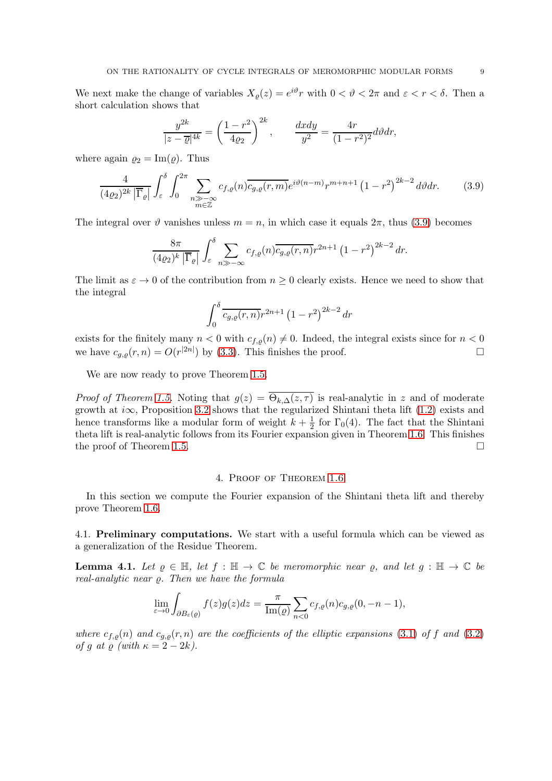We next make the change of variables  $X_{\varrho}(z) = e^{i\vartheta} r$  with  $0 < \vartheta < 2\pi$  and  $\varepsilon < r < \delta$ . Then a short calculation shows that

$$
\frac{y^{2k}}{|z-\overline{\varrho}|^{4k}} = \left(\frac{1-r^2}{4\varrho_2}\right)^{2k}, \qquad \frac{dxdy}{y^2} = \frac{4r}{(1-r^2)^2}d\vartheta dr,
$$

where again  $\rho_2 = \text{Im}(\rho)$ . Thus

<span id="page-8-1"></span>
$$
\frac{4}{(4\varrho_2)^{2k} |\overline{\Gamma}_{\varrho}|} \int_{\varepsilon}^{\delta} \int_{0}^{2\pi} \sum_{\substack{n \gg -\infty \\ m \in \mathbb{Z}}} c_{f,\varrho}(n) \overline{c_{g,\varrho}(r,m)} e^{i\vartheta(n-m)} r^{m+n+1} (1-r^2)^{2k-2} d\vartheta dr.
$$
 (3.9)

The integral over  $\vartheta$  vanishes unless  $m = n$ , in which case it equals  $2\pi$ , thus [\(3.9\)](#page-8-1) becomes

$$
\frac{8\pi}{(4\varrho_2)^k |\overline{\Gamma}_{\varrho}|} \int_{\varepsilon}^{\delta} \sum_{n \gg -\infty} c_{f,\varrho}(n) \overline{c_{g,\varrho}(r,n)} r^{2n+1} (1-r^2)^{2k-2} dr.
$$

The limit as  $\varepsilon \to 0$  of the contribution from  $n \geq 0$  clearly exists. Hence we need to show that the integral

$$
\int_0^\delta \overline{c_{g,\varrho}(r,n)} r^{2n+1} (1-r^2)^{2k-2} dr
$$

exists for the finitely many  $n < 0$  with  $c_{f,q}(n) \neq 0$ . Indeed, the integral exists since for  $n < 0$  we have  $c_{\alpha, \beta}(r, n) = O(r^{|2n|})$  by (3.3). This finishes the proof. we have  $c_{g,\varrho}(r,n) = O(r^{|2n|})$  by [\(3.3\)](#page-6-5). This finishes the proof.

We are now ready to prove Theorem [1.5.](#page-3-1)

*Proof of Theorem [1.5.](#page-3-1)* Noting that  $g(z) = \Theta_{k,\Delta}(z,\tau)$  is real-analytic in z and of moderate growth at i $\infty$ , Proposition [3.2](#page-7-0) shows that the regularized Shintani theta lift [\(1.2\)](#page-3-0) exists and hence transforms like a modular form of weight  $k + \frac{1}{2}$  $\frac{1}{2}$  for  $\Gamma_0(4)$ . The fact that the Shintani theta lift is real-analytic follows from its Fourier expansion given in Theorem [1.6.](#page-4-0) This finishes the proof of Theorem [1.5.](#page-3-1)

#### 4. Proof of Theorem [1.6](#page-4-0)

<span id="page-8-0"></span>In this section we compute the Fourier expansion of the Shintani theta lift and thereby prove Theorem [1.6.](#page-4-0)

4.1. Preliminary computations. We start with a useful formula which can be viewed as a generalization of the Residue Theorem.

<span id="page-8-2"></span>**Lemma 4.1.** Let  $\rho \in \mathbb{H}$ , let  $f : \mathbb{H} \to \mathbb{C}$  be meromorphic near  $\rho$ , and let  $q : \mathbb{H} \to \mathbb{C}$  be real-analytic near  $\rho$ . Then we have the formula

$$
\lim_{\varepsilon \to 0} \int_{\partial B_{\varepsilon}(g)} f(z)g(z)dz = \frac{\pi}{\text{Im}(g)} \sum_{n < 0} c_{f,g}(n)c_{g,g}(0, -n-1),
$$

where  $c_{f,\varrho}(n)$  and  $c_{g,\varrho}(r,n)$  are the coefficients of the elliptic expansions [\(3.1\)](#page-6-0) of f and [\(3.2\)](#page-6-4) of g at  $\rho$  (with  $\kappa = 2 - 2k$ ).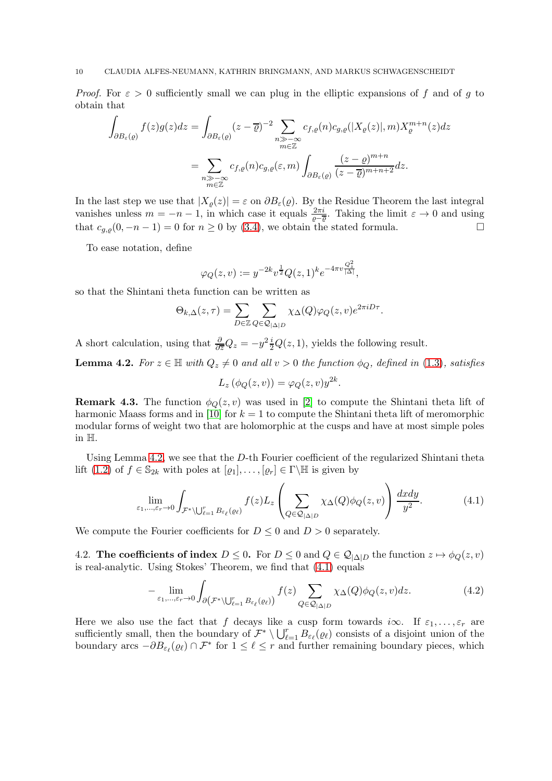*Proof.* For  $\varepsilon > 0$  sufficiently small we can plug in the elliptic expansions of f and of g to obtain that

$$
\int_{\partial B_{\varepsilon}(\varrho)} f(z)g(z)dz = \int_{\partial B_{\varepsilon}(\varrho)} (z-\overline{\varrho})^{-2} \sum_{\substack{n \gg -\infty \\ m \in \mathbb{Z}}} c_{f,\varrho}(n) c_{g,\varrho}(|X_{\varrho}(z)|, m) X_{\varrho}^{m+n}(z) dz
$$
\n
$$
= \sum_{\substack{n \gg -\infty \\ m \in \mathbb{Z}}} c_{f,\varrho}(n) c_{g,\varrho}(\varepsilon, m) \int_{\partial B_{\varepsilon}(\varrho)} \frac{(z-\varrho)^{m+n}}{(z-\overline{\varrho})^{m+n+2}} dz.
$$

In the last step we use that  $|X_{\varrho}(z)| = \varepsilon$  on  $\partial B_{\varepsilon}(\varrho)$ . By the Residue Theorem the last integral vanishes unless  $m = -n - 1$ , in which case it equals  $\frac{2\pi i}{\varrho - \varrho}$ . Taking the limit  $\varepsilon \to 0$  and using that  $c_{g,\rho}(0, -n-1) = 0$  for  $n \ge 0$  by [\(3.4\)](#page-6-6), we obtain the stated formula.

To ease notation, define

$$
\varphi_Q(z,v) := y^{-2k} v^{\frac{1}{2}} Q(z,1)^k e^{-4\pi v \frac{Q_z^2}{|\Delta|}},
$$

so that the Shintani theta function can be written as

$$
\Theta_{k,\Delta}(z,\tau) = \sum_{D \in \mathbb{Z}} \sum_{Q \in \mathcal{Q}_{|\Delta|D}} \chi_{\Delta}(Q) \varphi_Q(z,v) e^{2\pi i D\tau}.
$$

A short calculation, using that  $\frac{\partial}{\partial \bar{z}}Q_z = -y^2 \frac{i}{2}Q(z,1)$ , yields the following result.

<span id="page-9-0"></span>**Lemma 4.2.** For  $z \in \mathbb{H}$  with  $Q_z \neq 0$  and all  $v > 0$  the function  $\phi_Q$ , defined in [\(1.3\)](#page-3-2), satisfies

<span id="page-9-1"></span>
$$
L_z(\phi_Q(z,v)) = \varphi_Q(z,v)y^{2k}.
$$

**Remark 4.3.** The function  $\phi_{Q}(z, v)$  was used in [\[2\]](#page-17-5) to compute the Shintani theta lift of harmonic Maass forms and in [\[10\]](#page-17-6) for  $k = 1$  to compute the Shintani theta lift of meromorphic modular forms of weight two that are holomorphic at the cusps and have at most simple poles in H.

Using Lemma [4.2,](#page-9-0) we see that the  $D$ -th Fourier coefficient of the regularized Shintani theta lift [\(1.2\)](#page-3-0) of  $f \in \mathbb{S}_{2k}$  with poles at  $[\varrho_1], \ldots, [\varrho_r] \in \Gamma \backslash \mathbb{H}$  is given by

$$
\lim_{\varepsilon_1,\dots,\varepsilon_r \to 0} \int_{\mathcal{F}^* \setminus \bigcup_{\ell=1}^r B_{\varepsilon_\ell}(\varrho_\ell)} f(z) L_z \left( \sum_{Q \in \mathcal{Q}_{|\Delta|D}} \chi_{\Delta}(Q) \phi_Q(z,v) \right) \frac{dx dy}{y^2}.
$$
 (4.1)

We compute the Fourier coefficients for  $D \leq 0$  and  $D > 0$  separately.

4.2. The coefficients of index  $D \leq 0$ . For  $D \leq 0$  and  $Q \in \mathcal{Q}_{|\Delta|D}$  the function  $z \mapsto \phi_Q(z, v)$ is real-analytic. Using Stokes' Theorem, we find that [\(4.1\)](#page-9-1) equals

<span id="page-9-2"></span>
$$
-\lim_{\varepsilon_1,\ldots,\varepsilon_r\to 0}\int_{\partial\left(\mathcal{F}^*\setminus\bigcup_{\ell=1}^r B_{\varepsilon_\ell}(\varrho_\ell)\right)}f(z)\sum_{Q\in\mathcal{Q}_{|\Delta|D}}\chi_{\Delta}(Q)\phi_Q(z,v)dz.
$$
 (4.2)

Here we also use the fact that f decays like a cusp form towards i $\infty$ . If  $\varepsilon_1, \ldots, \varepsilon_r$  are sufficiently small, then the boundary of  $\mathcal{F}^* \setminus \bigcup_{\ell=1}^r B_{\varepsilon_\ell}(\varrho_\ell)$  consists of a disjoint union of the boundary arcs  $-\partial B_{\varepsilon_{\ell}}(\varrho_{\ell}) \cap \mathcal{F}^*$  for  $1 \leq \ell \leq r$  and further remaining boundary pieces, which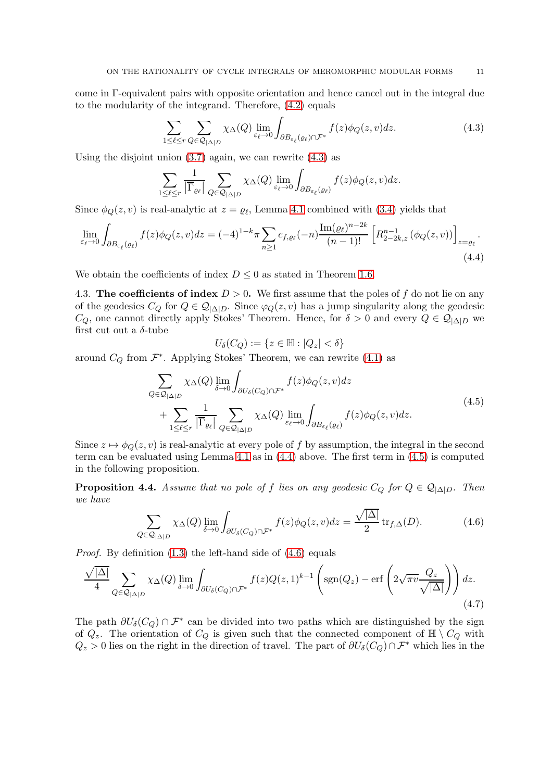come in Γ-equivalent pairs with opposite orientation and hence cancel out in the integral due to the modularity of the integrand. Therefore, [\(4.2\)](#page-9-2) equals

$$
\sum_{1 \leq \ell \leq r} \sum_{Q \in \mathcal{Q}_{|\Delta|D}} \chi_{\Delta}(Q) \lim_{\varepsilon_{\ell} \to 0} \int_{\partial B_{\varepsilon_{\ell}}(\varrho_{\ell}) \cap \mathcal{F}^*} f(z) \phi_Q(z, v) dz.
$$
 (4.3)

Using the disjoint union  $(3.7)$  again, we can rewrite  $(4.3)$  as

$$
\sum_{1 \leq \ell \leq r} \frac{1}{|\overline{\Gamma}_{\varrho_{\ell}}|} \sum_{Q \in \mathcal{Q}_{|\Delta|D}} \chi_{\Delta}(Q) \lim_{\varepsilon_{\ell} \to 0} \int_{\partial B_{\varepsilon_{\ell}}(\varrho_{\ell})} f(z) \phi_{Q}(z, v) dz.
$$

Since  $\phi_Q(z, v)$  is real-analytic at  $z = \varrho_\ell$ , Lemma [4.1](#page-8-2) combined with [\(3.4\)](#page-6-6) yields that

$$
\lim_{\varepsilon_{\ell}\to 0} \int_{\partial B_{\varepsilon_{\ell}}(\varrho_{\ell})} f(z) \phi_Q(z, v) dz = (-4)^{1-k} \pi \sum_{n\geq 1} c_{f, \varrho_{\ell}}(-n) \frac{\operatorname{Im}(\varrho_{\ell})^{n-2k}}{(n-1)!} \left[ R_{2-2k, z}^{n-1} \left( \phi_Q(z, v) \right) \right]_{z=\varrho_{\ell}}.
$$
\n(4.4)

We obtain the coefficients of index  $D \leq 0$  as stated in Theorem [1.6.](#page-4-0)

4.3. The coefficients of index  $D > 0$ . We first assume that the poles of f do not lie on any of the geodesics  $C_Q$  for  $Q \in \mathcal{Q}_{|\Delta|D}$ . Since  $\varphi_Q(z, v)$  has a jump singularity along the geodesic  $C_Q$ , one cannot directly apply Stokes' Theorem. Hence, for  $\delta > 0$  and every  $Q \in \mathcal{Q}_{|\Delta|D}$  we first cut out a  $\delta$ -tube

<span id="page-10-3"></span><span id="page-10-2"></span>
$$
U_{\delta}(C_Q) := \{ z \in \mathbb{H} : |Q_z| < \delta \}
$$

around  $C_Q$  from  $\mathcal{F}^*$ . Applying Stokes' Theorem, we can rewrite  $(4.1)$  as

$$
\sum_{Q \in \mathcal{Q}_{|\Delta|D}} \chi_{\Delta}(Q) \lim_{\delta \to 0} \int_{\partial U_{\delta}(C_Q) \cap \mathcal{F}^*} f(z) \phi_Q(z, v) dz + \sum_{1 \le \ell \le r} \frac{1}{|\overline{\Gamma}_{\ell\ell}|} \sum_{Q \in \mathcal{Q}_{|\Delta|D}} \chi_{\Delta}(Q) \lim_{\varepsilon_{\ell} \to 0} \int_{\partial B_{\varepsilon_{\ell}}(\varrho_{\ell})} f(z) \phi_Q(z, v) dz.
$$
\n(4.5)

Since  $z \mapsto \phi_Q(z, v)$  is real-analytic at every pole of f by assumption, the integral in the second term can be evaluated using Lemma [4.1](#page-8-2) as in [\(4.4\)](#page-10-1) above. The first term in [\(4.5\)](#page-10-2) is computed in the following proposition.

**Proposition 4.4.** Assume that no pole of f lies on any geodesic  $C_Q$  for  $Q \in \mathcal{Q}_{|\Delta|D}$ . Then we have

<span id="page-10-4"></span>
$$
\sum_{Q \in \mathcal{Q}_{|\Delta|D}} \chi_{\Delta}(Q) \lim_{\delta \to 0} \int_{\partial U_{\delta}(C_Q) \cap \mathcal{F}^*} f(z) \phi_Q(z, v) dz = \frac{\sqrt{|\Delta|}}{2} \operatorname{tr}_{f, \Delta}(D). \tag{4.6}
$$

*Proof.* By definition  $(1.3)$  the left-hand side of  $(4.6)$  equals

$$
\frac{\sqrt{|\Delta|}}{4} \sum_{Q \in \mathcal{Q}_{|\Delta|D}} \chi_{\Delta}(Q) \lim_{\delta \to 0} \int_{\partial U_{\delta}(C_Q) \cap \mathcal{F}^*} f(z) Q(z, 1)^{k-1} \left( \text{sgn}(Q_z) - \text{erf}\left( 2\sqrt{\pi v} \frac{Q_z}{\sqrt{|\Delta|}} \right) \right) dz. \tag{4.7}
$$

The path  $\partial U_{\delta}(C_Q) \cap \mathcal{F}^*$  can be divided into two paths which are distinguished by the sign of  $Q_z$ . The orientation of  $C_Q$  is given such that the connected component of  $\mathbb{H} \setminus C_Q$  with  $Q_z > 0$  lies on the right in the direction of travel. The part of  $\partial U_\delta(C_Q) \cap \mathcal{F}^*$  which lies in the

<span id="page-10-1"></span><span id="page-10-0"></span>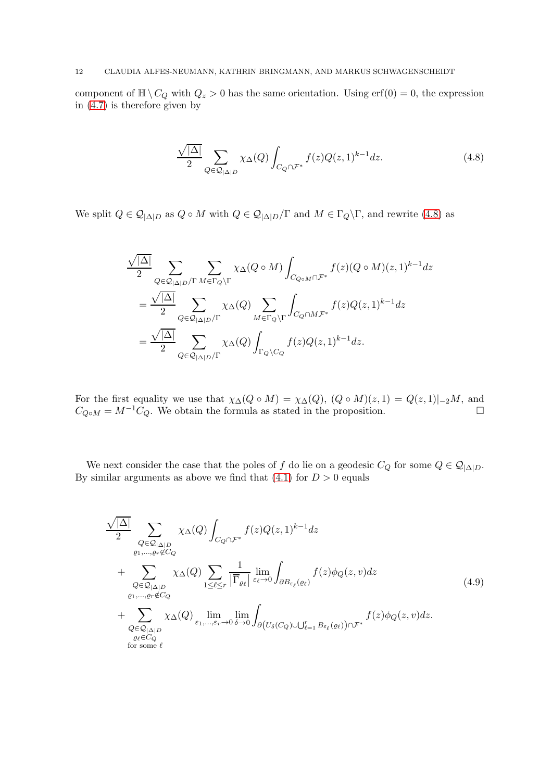component of  $\mathbb{H} \setminus C_Q$  with  $Q_z > 0$  has the same orientation. Using  $\text{erf}(0) = 0$ , the expression in [\(4.7\)](#page-10-4) is therefore given by

<span id="page-11-0"></span>
$$
\frac{\sqrt{|\Delta|}}{2} \sum_{Q \in \mathcal{Q}_{|\Delta|D}} \chi_{\Delta}(Q) \int_{C_Q \cap \mathcal{F}^*} f(z) Q(z, 1)^{k-1} dz.
$$
 (4.8)

We split  $Q \in \mathcal{Q}_{|\Delta|D}$  as  $Q \circ M$  with  $Q \in \mathcal{Q}_{|\Delta|D}/\Gamma$  and  $M \in \Gamma_Q \backslash \Gamma$ , and rewrite [\(4.8\)](#page-11-0) as

$$
\begin{split} & \frac{\sqrt{|\Delta|}}{2} \sum_{Q \in \mathcal{Q}_{|\Delta|D}/\Gamma} \sum_{M \in \Gamma_Q \backslash \Gamma} \chi_{\Delta}(Q \circ M) \int_{C_{Q \circ M} \cap \mathcal{F}^*} f(z) (Q \circ M) (z, 1)^{k-1} dz \\ & = \frac{\sqrt{|\Delta|}}{2} \sum_{Q \in \mathcal{Q}_{|\Delta|D}/\Gamma} \chi_{\Delta}(Q) \sum_{M \in \Gamma_Q \backslash \Gamma} \int_{C_Q \cap M \mathcal{F}^*} f(z) Q(z, 1)^{k-1} dz \\ & = \frac{\sqrt{|\Delta|}}{2} \sum_{Q \in \mathcal{Q}_{|\Delta|D}/\Gamma} \chi_{\Delta}(Q) \int_{\Gamma_Q \backslash C_Q} f(z) Q(z, 1)^{k-1} dz. \end{split}
$$

For the first equality we use that  $\chi_{\Delta}(Q \circ M) = \chi_{\Delta}(Q)$ ,  $(Q \circ M)(z, 1) = Q(z, 1)|_{-2}M$ , and  $C_{Q \circ M} = M^{-1}C_Q$ . We obtain the formula as stated in the proposition.

We next consider the case that the poles of f do lie on a geodesic  $C_Q$  for some  $Q \in \mathcal{Q}_{|\Delta|D}$ . By similar arguments as above we find that  $(4.1)$  for  $D > 0$  equals

<span id="page-11-1"></span>
$$
\frac{\sqrt{|\Delta|}}{2} \sum_{\substack{Q \in \mathcal{Q}_{|\Delta|D} \\ \varrho_1, \dots, \varrho_r \notin C_Q}} \chi_{\Delta}(Q) \int_{C_Q \cap \mathcal{F}^*} f(z) Q(z, 1)^{k-1} dz \n+ \sum_{\substack{Q \in \mathcal{Q}_{|\Delta|D} \\ \varrho_1, \dots, \varrho_r \notin C_Q}} \chi_{\Delta}(Q) \sum_{1 \leq \ell \leq r} \frac{1}{|\overline{\Gamma}_{\varrho_{\ell}}|} \lim_{\varepsilon_{\ell} \to 0} \int_{\partial B_{\varepsilon_{\ell}}(\varrho_{\ell})} f(z) \phi_Q(z, v) dz \n+ \sum_{\substack{Q \in \mathcal{Q}_{|\Delta|D} \\ \varrho_{\ell} \in C_Q}} \chi_{\Delta}(Q) \lim_{\varepsilon_1, \dots, \varepsilon_r \to 0} \lim_{\delta \to 0} \int_{\partial (U_{\delta}(C_Q) \cup \bigcup_{\ell=1}^r B_{\varepsilon_{\ell}}(\varrho_{\ell})) \cap \mathcal{F}^*} f(z) \phi_Q(z, v) dz.
$$
\n(4.9)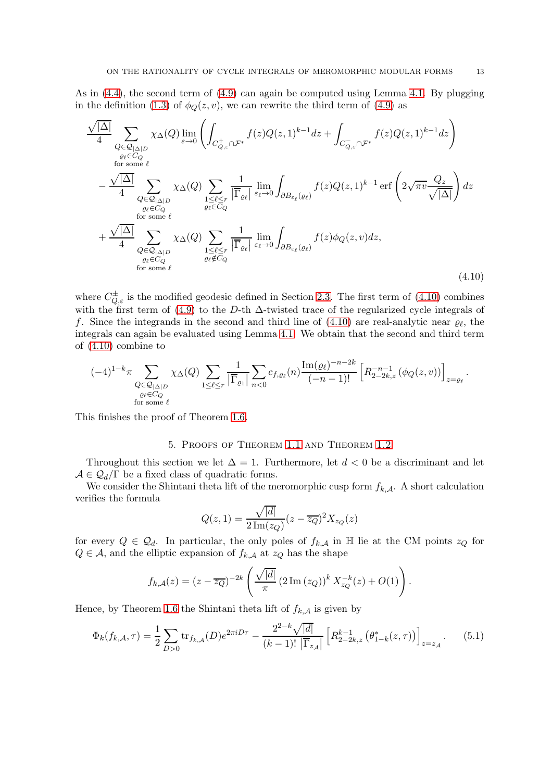As in [\(4.4\)](#page-10-1), the second term of [\(4.9\)](#page-11-1) can again be computed using Lemma [4.1.](#page-8-2) By plugging in the definition [\(1.3\)](#page-3-2) of  $\phi_Q(z, v)$ , we can rewrite the third term of [\(4.9\)](#page-11-1) as

$$
\frac{\sqrt{|\Delta|}}{4} \sum_{\substack{Q \in \mathcal{Q}_{|\Delta|D} \\ \text{for some } \ell}} \chi_{\Delta}(Q) \lim_{\varepsilon \to 0} \left( \int_{C_{Q,\varepsilon}^+ \cap \mathcal{F}^*} f(z) Q(z,1)^{k-1} dz + \int_{C_{Q,\varepsilon}^- \cap \mathcal{F}^*} f(z) Q(z,1)^{k-1} dz \right) \n- \frac{\sqrt{|\Delta|}}{4} \sum_{\substack{Q \in \mathcal{Q}_{|\Delta|D} \\ \text{for some } \ell}} \chi_{\Delta}(Q) \sum_{\substack{1 \leq \ell \leq r \\ \ell \in C_Q \\ \text{for some } \ell}} \frac{1}{|\overline{\Gamma}_{\ell\ell}|} \lim_{\varepsilon_{\ell} \to 0} \int_{\partial B_{\varepsilon_{\ell}}(\varrho_{\ell})} f(z) Q(z,1)^{k-1} \operatorname{erf} \left( 2\sqrt{\pi v} \frac{Q_z}{\sqrt{|\Delta|}} \right) dz \n+ \frac{\sqrt{|\Delta|}}{4} \sum_{\substack{Q \in \mathcal{Q}_{|\Delta|D} \\ \text{for some } \ell}} \chi_{\Delta}(Q) \sum_{\substack{1 \leq \ell \leq r \\ \ell \in C_Q \\ \text{for some } \ell}} \frac{1}{|\overline{\Gamma}_{\ell\ell}|} \lim_{\varepsilon_{\ell} \to 0} \int_{\partial B_{\varepsilon_{\ell}}(\varrho_{\ell})} f(z) \phi_Q(z,v) dz,
$$
\n(4.10)

where  $C_{Q,\varepsilon}^{\pm}$  is the modified geodesic defined in Section [2.3.](#page-5-2) The first term of  $(4.10)$  combines with the first term of [\(4.9\)](#page-11-1) to the D-th  $\Delta$ -twisted trace of the regularized cycle integrals of f. Since the integrands in the second and third line of  $(4.10)$  are real-analytic near  $\varrho_{\ell}$ , the integrals can again be evaluated using Lemma [4.1.](#page-8-2) We obtain that the second and third term of [\(4.10\)](#page-12-1) combine to

$$
(-4)^{1-k} \pi \sum_{\substack{Q \in \mathcal{Q}_{|\Delta|D} \\ \varrho_{\ell} \in C_Q \\ \text{for some } \ell}} \chi_{\Delta}(Q) \sum_{1 \leq \ell \leq r} \frac{1}{|\overline{\Gamma}_{\varrho_1}|} \sum_{n < 0} c_{f,\varrho_{\ell}}(n) \frac{\text{Im}(\varrho_{\ell})^{-n-2k}}{(-n-1)!} \left[ R_{2-2k,z}^{-n-1} \left( \phi_Q(z,v) \right) \right]_{z=\varrho_{\ell}}.
$$

<span id="page-12-0"></span>This finishes the proof of Theorem [1.6.](#page-4-0)

### <span id="page-12-1"></span>5. Proofs of Theorem [1.1](#page-1-1) and Theorem [1.2](#page-1-2)

Throughout this section we let  $\Delta = 1$ . Furthermore, let  $d < 0$  be a discriminant and let  $A \in \mathcal{Q}_d/\Gamma$  be a fixed class of quadratic forms.

We consider the Shintani theta lift of the meromorphic cusp form  $f_{k,\mathcal{A}}$ . A short calculation verifies the formula

$$
Q(z,1)=\frac{\sqrt{|d|}}{2\operatorname{Im}(z_Q)}(z-\overline{z_Q})^2X_{z_Q}(z)
$$

for every  $Q \in \mathcal{Q}_d$ . In particular, the only poles of  $f_{k,\mathcal{A}}$  in H lie at the CM points  $z_Q$  for  $Q \in \mathcal{A}$ , and the elliptic expansion of  $f_{k,\mathcal{A}}$  at  $z_Q$  has the shape

$$
f_{k,A}(z) = (z - \overline{z_Q})^{-2k} \left( \frac{\sqrt{|d|}}{\pi} (2 \operatorname{Im} (z_Q))^k X_{z_Q}^{-k}(z) + O(1) \right).
$$

Hence, by Theorem [1.6](#page-4-0) the Shintani theta lift of  $f_{k,\mathcal{A}}$  is given by

<span id="page-12-2"></span>
$$
\Phi_k(f_{k,A}, \tau) = \frac{1}{2} \sum_{D>0} \text{tr}_{f_{k,A}}(D) e^{2\pi i D\tau} - \frac{2^{2-k} \sqrt{|d|}}{(k-1)! \left| \overline{\Gamma}_{z_A} \right|} \left[ R_{2-2k,z}^{k-1} \left( \theta_{1-k}^*(z,\tau) \right) \right]_{z=z_A} . \tag{5.1}
$$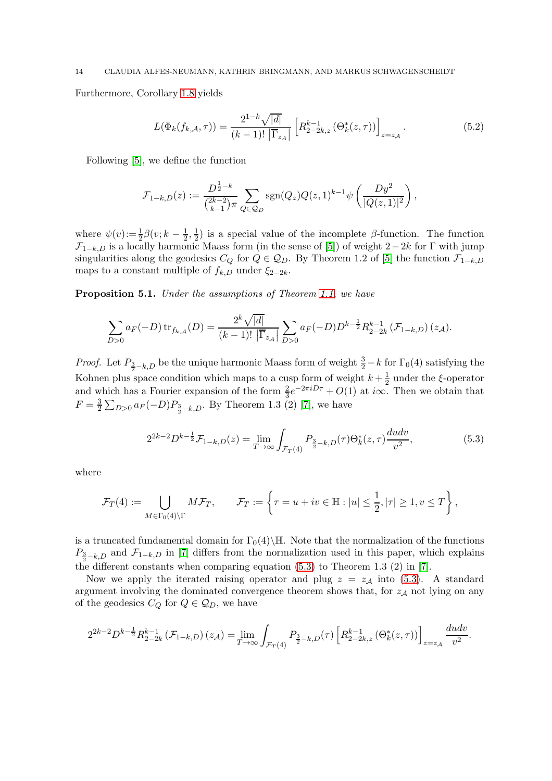Furthermore, Corollary [1.8](#page-4-1) yields

<span id="page-13-1"></span>
$$
L(\Phi_k(f_{k,A}, \tau)) = \frac{2^{1-k}\sqrt{|d|}}{(k-1)! \left| \overline{\Gamma}_{z_A} \right|} \left[ R_{2-2k,z}^{k-1} \left( \Theta_k^*(z, \tau) \right) \right]_{z=z_A} . \tag{5.2}
$$

Following [\[5\]](#page-17-18), we define the function

$$
\mathcal{F}_{1-k,D}(z) := \frac{D^{\frac{1}{2}-k}}{\binom{2k-2}{k-1}\pi} \sum_{Q \in \mathcal{Q}_D} \text{sgn}(Q_z) Q(z,1)^{k-1} \psi\left(\frac{Dy^2}{|Q(z,1)|^2}\right),
$$

where  $\psi(v) := \frac{1}{2}\beta(v) k - \frac{1}{2}$  $\frac{1}{2}, \frac{1}{2}$  $\frac{1}{2}$ ) is a special value of the incomplete  $\beta$ -function. The function  $\mathcal{F}_{1-k,D}$  is a locally harmonic Maass form (in the sense of [\[5\]](#page-17-18)) of weight  $2-2k$  for  $\Gamma$  with jump singularities along the geodesics  $C_Q$  for  $Q \in \mathcal{Q}_D$ . By Theorem 1.2 of [\[5\]](#page-17-18) the function  $\mathcal{F}_{1-k,D}$ maps to a constant multiple of  $f_{k,D}$  under  $\xi_{2-2k}$ .

<span id="page-13-2"></span>Proposition 5.1. Under the assumptions of Theorem [1.1,](#page-1-1) we have

$$
\sum_{D>0} a_F(-D) \operatorname{tr}_{f_{k,A}}(D) = \frac{2^k \sqrt{|d|}}{(k-1)!} \sum_{D>0} a_F(-D) D^{k-\frac{1}{2}} R_{2-2k}^{k-1} (\mathcal{F}_{1-k,D}) (z_{\mathcal{A}}).
$$

*Proof.* Let  $P_{\frac{3}{2}-k,D}$  be the unique harmonic Maass form of weight  $\frac{3}{2}-k$  for  $\Gamma_0(4)$  satisfying the Kohnen plus space condition which maps to a cusp form of weight  $k + \frac{1}{2}$  $\frac{1}{2}$  under the  $\xi$ -operator and which has a Fourier expansion of the form  $\frac{2}{3}e^{-2\pi iD\tau} + O(1)$  at  $i\infty$ . Then we obtain that  $F=\frac{3}{2}$  $\frac{3}{2} \sum_{D>0} a_F(-D) P_{\frac{3}{2}-k,D}$ . By Theorem 1.3 (2) [\[7\]](#page-17-9), we have

<span id="page-13-0"></span>
$$
2^{2k-2}D^{k-\frac{1}{2}}\mathcal{F}_{1-k,D}(z) = \lim_{T \to \infty} \int_{\mathcal{F}_T(4)} P_{\frac{3}{2}-k,D}(\tau)\Theta_k^*(z,\tau)\frac{dudv}{v^2},\tag{5.3}
$$

where

$$
\mathcal{F}_T(4) := \bigcup_{M \in \Gamma_0(4) \backslash \Gamma} M\mathcal{F}_T, \qquad \mathcal{F}_T := \left\{ \tau = u + iv \in \mathbb{H} : |u| \leq \frac{1}{2}, |\tau| \geq 1, v \leq T \right\},
$$

is a truncated fundamental domain for  $\Gamma_0(4)\backslash\mathbb{H}$ . Note that the normalization of the functions  $P_{\frac{3}{2}-k,D}$  and  $\mathcal{F}_{1-k,D}$  in [\[7\]](#page-17-9) differs from the normalization used in this paper, which explains the different constants when comparing equation  $(5.3)$  to Theorem 1.3  $(2)$  in  $[7]$ .

Now we apply the iterated raising operator and plug  $z = z<sub>A</sub>$  into [\(5.3\)](#page-13-0). A standard argument involving the dominated convergence theorem shows that, for  $z_A$  not lying on any of the geodesics  $C_Q$  for  $Q \in \mathcal{Q}_D$ , we have

$$
2^{2k-2}D^{k-\frac{1}{2}}R_{2-2k}^{k-1}\left(\mathcal{F}_{1-k,D}\right)(z_{\mathcal{A}})=\lim_{T\rightarrow\infty}\int_{\mathcal{F}_T(4)}P_{\frac{3}{2}-k,D}(\tau)\left[R_{2-2k,z}^{k-1}\left(\Theta^*_k(z,\tau)\right)\right]_{z=z_{\mathcal{A}}}\frac{dudv}{v^2}.
$$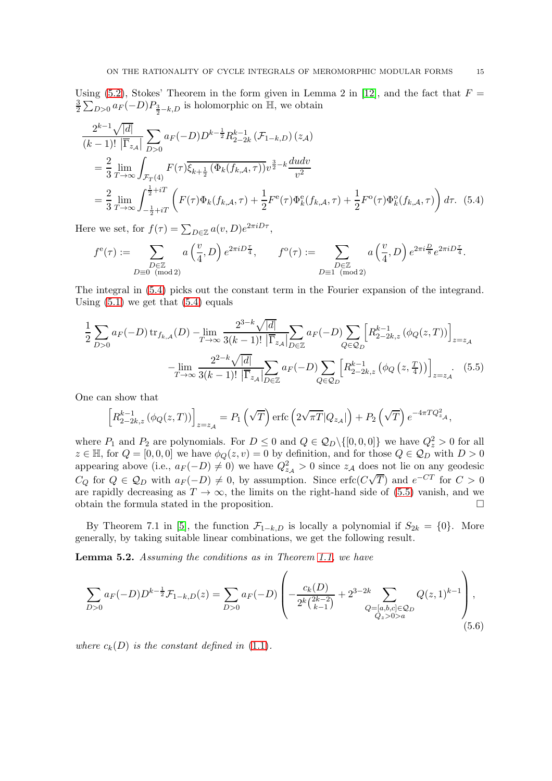Using [\(5.2\)](#page-13-1), Stokes' Theorem in the form given in Lemma 2 in [\[12\]](#page-17-19), and the fact that  $F =$ 3  $\frac{3}{2} \sum_{D>0} a_F(-D) P_{\frac{3}{2}-k,D}$  is holomorphic on  $\mathbb{H}$ , we obtain

$$
\frac{2^{k-1}\sqrt{|d|}}{(k-1)!} \sum_{|\overline{1}_{z\mathcal{A}}|} \sum_{D>0} a_F(-D)D^{k-\frac{1}{2}} R_{2-2k}^{k-1} (\mathcal{F}_{1-k,D}) (z_{\mathcal{A}})
$$
\n
$$
= \frac{2}{3} \lim_{T \to \infty} \int_{\mathcal{F}_T(4)} F(\tau) \overline{\xi_{k+\frac{1}{2}}} (\Phi_k(f_{k,\mathcal{A}}, \tau)) v^{\frac{3}{2} - k} \frac{dudv}{v^2}
$$
\n
$$
= \frac{2}{3} \lim_{T \to \infty} \int_{-\frac{1}{2} + iT}^{\frac{1}{2} + iT} \left( F(\tau) \Phi_k(f_{k,\mathcal{A}}, \tau) + \frac{1}{2} F^e(\tau) \Phi_k^e(f_{k,\mathcal{A}}, \tau) + \frac{1}{2} F^o(\tau) \Phi_k^o(f_{k,\mathcal{A}}, \tau) \right) d\tau. \tag{5.4}
$$

Here we set, for  $f(\tau) = \sum_{D \in \mathbb{Z}} a(v, D) e^{2\pi i D \tau}$ ,

$$
f^e(\tau):=\sum_{\substack{D\in\mathbb{Z}\\ D\equiv 0\pmod{2}}}a\left(\frac{v}{4},D\right)e^{2\pi i D\frac{\tau}{4}},\qquad f^o(\tau):=\sum_{\substack{D\in\mathbb{Z}\\ D\equiv 1\pmod{2}}}a\left(\frac{v}{4},D\right)e^{2\pi i\frac{D}{8}}e^{2\pi i D\frac{\tau}{4}}.
$$

The integral in [\(5.4\)](#page-14-0) picks out the constant term in the Fourier expansion of the integrand. Using  $(5.1)$  we get that  $(5.4)$  equals

$$
\frac{1}{2} \sum_{D>0} a_F(-D) \operatorname{tr}_{f_{k,A}}(D) - \lim_{T \to \infty} \frac{2^{3-k} \sqrt{|d|}}{3(k-1)!} \sum_{|\overline{\Gamma}_{z_A}|} a_F(-D) \sum_{Q \in \mathcal{Q}_D} \left[ R_{2-2k,z}^{k-1} \left( \phi_Q(z,T) \right) \right]_{z=z_A}
$$

$$
- \lim_{T \to \infty} \frac{2^{2-k} \sqrt{|d|}}{3(k-1)!} \sum_{|\overline{\Gamma}_{z_A}|} a_F(-D) \sum_{Q \in \mathcal{Q}_D} \left[ R_{2-2k,z}^{k-1} \left( \phi_Q(z,\frac{T}{4}) \right) \right]_{z=z_A} . \tag{5.5}
$$

One can show that

$$
\left[R_{2-2k,z}^{k-1}\left(\phi_Q(z,T)\right)\right]_{z=z_{\mathcal{A}}}=P_1\left(\sqrt{T}\right)\mathrm{erfc}\left(2\sqrt{\pi T}|Q_{z_{\mathcal{A}}}| \right)+P_2\left(\sqrt{T}\right)e^{-4\pi TQ_{z_{\mathcal{A}}}^2},
$$

where  $P_1$  and  $P_2$  are polynomials. For  $D \leq 0$  and  $Q \in \mathcal{Q}_D \setminus \{[0,0,0]\}$  we have  $Q_z^2 > 0$  for all  $z \in \mathbb{H}$ , for  $Q = [0, 0, 0]$  we have  $\phi_Q(z, v) = 0$  by definition, and for those  $Q \in \mathcal{Q}_D$  with  $D > 0$ appearing above (i.e.,  $a_F(-D) \neq 0$ ) we have  $Q_{z_A}^2 > 0$  since  $z_A$  does not lie on any geodesic  $C_Q$  for  $Q \in \mathcal{Q}_D$  with  $a_F(-D) \neq 0$ , by assumption. Since erfc $(C\sqrt{T})$  and  $e^{-CT}$  for  $C > 0$ are rapidly decreasing as  $T \to \infty$ , the limits on the right-hand side of [\(5.5\)](#page-14-1) vanish, and we obtain the formula stated in the proposition obtain the formula stated in the proposition.

By Theorem 7.1 in [\[5\]](#page-17-18), the function  $\mathcal{F}_{1-k,D}$  is locally a polynomial if  $S_{2k} = \{0\}$ . More generally, by taking suitable linear combinations, we get the following result.

<span id="page-14-3"></span>Lemma 5.2. Assuming the conditions as in Theorem [1.1,](#page-1-1) we have

<span id="page-14-2"></span>
$$
\sum_{D>0} a_F(-D) D^{k-\frac{1}{2}} \mathcal{F}_{1-k,D}(z) = \sum_{D>0} a_F(-D) \left( -\frac{c_k(D)}{2^k {2k-2 \choose k-1}} + 2^{3-2k} \sum_{\substack{Q=[a,b,c]\in\mathcal{Q}_D\\Q_z>0>a}} Q(z,1)^{k-1} \right),\tag{5.6}
$$

where  $c_k(D)$  is the constant defined in  $(1.1)$ .

<span id="page-14-1"></span><span id="page-14-0"></span>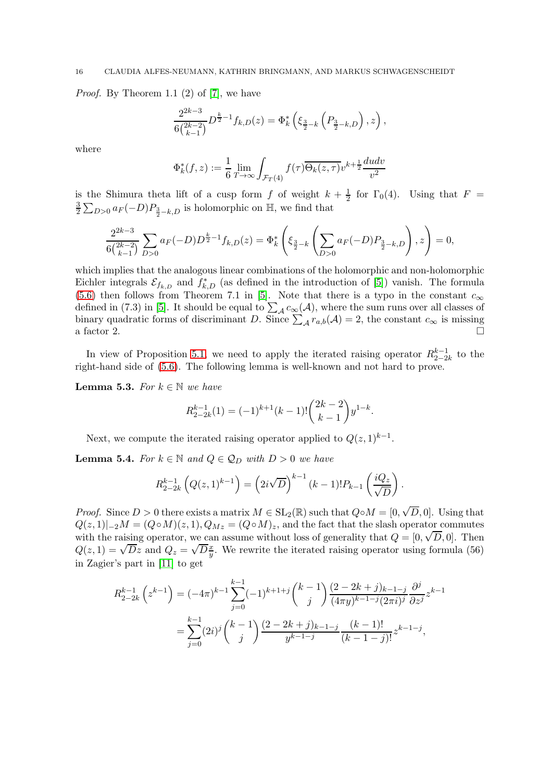*Proof.* By Theorem 1.1  $(2)$  of  $[7]$ , we have

$$
\frac{2^{2k-3}}{6\binom{2k-2}{k-1}}D^{\frac{k}{2}-1}f_{k,D}(z)=\Phi_k^*\left(\xi_{\frac{3}{2}-k}\left(P_{\frac{3}{2}-k,D}\right),z\right),
$$

where

$$
\Phi_k^*(f, z) := \frac{1}{6} \lim_{T \to \infty} \int_{\mathcal{F}_T(4)} f(\tau) \overline{\Theta_k(z, \tau)} v^{k + \frac{1}{2}} \frac{du dv}{v^2}
$$

is the Shimura theta lift of a cusp form f of weight  $k+\frac{1}{2}$  $\frac{1}{2}$  for  $\Gamma_0(4)$ . Using that  $F =$ 3  $\frac{3}{2} \sum_{D>0} a_F(-D) P_{\frac{3}{2}-k,D}$  is holomorphic on  $\mathbb{H}$ , we find that

$$
\frac{2^{2k-3}}{6\binom{2k-2}{k-1}}\sum_{D>0}a_F(-D)D^{\frac{k}{2}-1}f_{k,D}(z)=\Phi_k^*\left(\xi_{\frac{3}{2}-k}\left(\sum_{D>0}a_F(-D)P_{\frac{3}{2}-k,D}\right),z\right)=0,
$$

which implies that the analogous linear combinations of the holomorphic and non-holomorphic Eichler integrals  $\mathcal{E}_{f_{k,D}}$  and  $f_{k,D}^*$  (as defined in the introduction of [\[5\]](#page-17-18)) vanish. The formula [\(5.6\)](#page-14-2) then follows from Theorem 7.1 in [\[5\]](#page-17-18). Note that there is a typo in the constant  $c_{\infty}$ defined in (7.3) in [\[5\]](#page-17-18). It should be equal to  $\sum_{\mathcal{A}} c_{\infty}(\mathcal{A})$ , where the sum runs over all classes of binary quadratic forms of discriminant D. Since  $\sum_{\mathcal{A}} r_{a,b}(\mathcal{A}) = 2$ , the constant  $c_{\infty}$  is missing a factor 2.

In view of Proposition [5.1,](#page-13-2) we need to apply the iterated raising operator  $R_{2-2}^{k-1}$  $\frac{k-1}{2-2k}$  to the right-hand side of [\(5.6\)](#page-14-2). The following lemma is well-known and not hard to prove.

<span id="page-15-0"></span>**Lemma 5.3.** For  $k \in \mathbb{N}$  we have

$$
R_{2-2k}^{k-1}(1) = (-1)^{k+1}(k-1)! \binom{2k-2}{k-1} y^{1-k}.
$$

Next, we compute the iterated raising operator applied to  $Q(z, 1)^{k-1}$ .

<span id="page-15-1"></span>**Lemma 5.4.** For  $k \in \mathbb{N}$  and  $Q \in \mathcal{Q}_D$  with  $D > 0$  we have

$$
R_{2-2k}^{k-1}\left(Q(z,1)^{k-1}\right) = \left(2i\sqrt{D}\right)^{k-1}(k-1)!P_{k-1}\left(\frac{iQ_z}{\sqrt{D}}\right).
$$

*Proof.* Since  $D > 0$  there exists a matrix  $M \in SL_2(\mathbb{R})$  such that  $Q \circ M = [0, \sqrt{D}, 0]$ . Using that  $Q(z, 1)|_{-2}M = (Q \circ M)(z, 1), Q_{Mz} = (Q \circ M)_{z}$ , and the fact that the slash operator commutes with the raising operator, we can assume without loss of generality that  $Q = [0, \sqrt{D}, 0]$ . Then  $Q(z, 1) = \sqrt{D}z$  and  $Q_z = \sqrt{D}\frac{x}{y}$ . We rewrite the iterated raising operator using formula (56) in Zagier's part in [\[11\]](#page-17-16) to get

$$
R_{2-2k}^{k-1} (z^{k-1}) = (-4\pi)^{k-1} \sum_{j=0}^{k-1} (-1)^{k+1+j} {k-1 \choose j} \frac{(2-2k+j)_{k-1-j}}{(4\pi y)^{k-1-j} (2\pi i)^j} \frac{\partial^j}{\partial z^j} z^{k-1}
$$
  
= 
$$
\sum_{j=0}^{k-1} (2i)^j {k-1 \choose j} \frac{(2-2k+j)_{k-1-j}}{y^{k-1-j}} \frac{(k-1)!}{(k-1-j)!} z^{k-1-j},
$$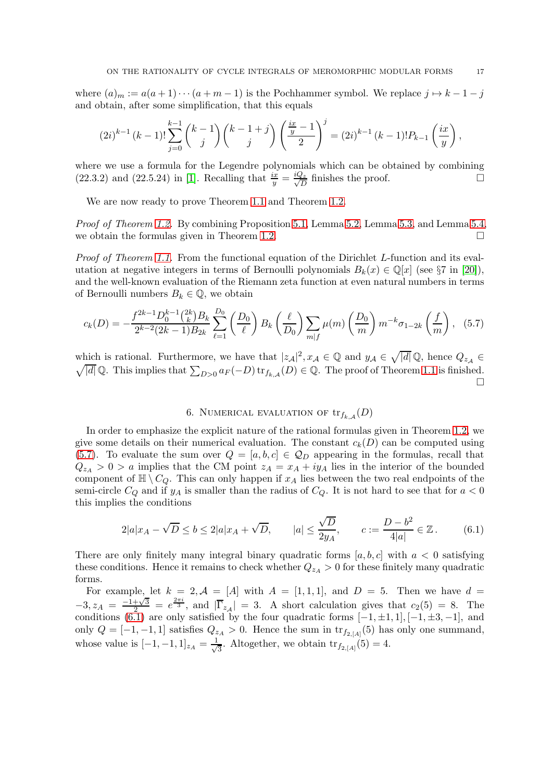where  $(a)_m := a(a+1)\cdots(a+m-1)$  is the Pochhammer symbol. We replace  $j \mapsto k-1-j$ and obtain, after some simplification, that this equals

$$
(2i)^{k-1} (k-1)! \sum_{j=0}^{k-1} {k-1 \choose j} {k-1+j \choose j} \left(\frac{\frac{ix}{y}-1}{2}\right)^j = (2i)^{k-1} (k-1)! P_{k-1} \left(\frac{ix}{y}\right),
$$

where we use a formula for the Legendre polynomials which can be obtained by combining (22.3.2) and (22.5.24) in [\[1\]](#page-17-20). Recalling that  $\frac{ix}{y} = \frac{iQ_z}{\sqrt{D}}$  $\frac{2z}{D}$  finishes the proof.

We are now ready to prove Theorem [1.1](#page-1-1) and Theorem [1.2.](#page-1-2)

Proof of Theorem [1.2.](#page-1-2) By combining Proposition [5.1,](#page-13-2) Lemma [5.2,](#page-14-3) Lemma [5.3,](#page-15-0) and Lemma [5.4,](#page-15-1) we obtain the formulas given in Theorem [1.2.](#page-1-2)  $\Box$ 

Proof of Theorem [1.1.](#page-1-1) From the functional equation of the Dirichlet L-function and its evalutation at negative integers in terms of Bernoulli polynomials  $B_k(x) \in \mathbb{Q}[x]$  (see §7 in [\[20\]](#page-17-21)), and the well-known evaluation of the Riemann zeta function at even natural numbers in terms of Bernoulli numbers  $B_k \in \mathbb{Q}$ , we obtain

$$
c_k(D) = -\frac{f^{2k-1}D_0^{k-1} {2k \choose k} B_k}{2^{k-2}(2k-1)B_{2k}} \sum_{\ell=1}^{D_0} \left(\frac{D_0}{\ell}\right) B_k\left(\frac{\ell}{D_0}\right) \sum_{m|f} \mu(m) \left(\frac{D_0}{m}\right) m^{-k} \sigma_{1-2k} \left(\frac{f}{m}\right), \quad (5.7)
$$

which is rational. Furthermore, we have that  $|z_{\mathcal{A}}|^2$ ,  $x_{\mathcal{A}} \in \mathbb{Q}$  and  $y_{\mathcal{A}} \in \sqrt{|d|} \mathbb{Q}$ , hence  $Q_{z_{\mathcal{A}}} \in$  $\sqrt{|d|} \mathbb{Q}$ . This implies that  $\sum_{D>0} a_F(-D) \operatorname{tr}_{f_{k,A}}(D) \in \mathbb{Q}$ . The proof of Theorem [1.1](#page-1-1) is finished.

# <span id="page-16-2"></span>6. NUMERICAL EVALUATION OF  $\text{tr}_{f_{k,\mathcal{A}}}(D)$

<span id="page-16-0"></span>In order to emphasize the explicit nature of the rational formulas given in Theorem [1.2,](#page-1-2) we give some details on their numerical evaluation. The constant  $c_k(D)$  can be computed using [\(5.7\)](#page-16-1). To evaluate the sum over  $Q = [a, b, c] \in \mathcal{Q}_D$  appearing in the formulas, recall that  $Q_{z_A} > 0 > a$  implies that the CM point  $z_A = x_A + iy_A$  lies in the interior of the bounded component of  $\mathbb{H} \setminus C_Q$ . This can only happen if  $x_A$  lies between the two real endpoints of the semi-circle  $C_Q$  and if  $y_A$  is smaller than the radius of  $C_Q$ . It is not hard to see that for  $a < 0$ this implies the conditions

$$
2|a|x_A - \sqrt{D} \le b \le 2|a|x_A + \sqrt{D}, \qquad |a| \le \frac{\sqrt{D}}{2y_A}, \qquad c := \frac{D - b^2}{4|a|} \in \mathbb{Z}.
$$
 (6.1)

There are only finitely many integral binary quadratic forms  $[a, b, c]$  with  $a < 0$  satisfying these conditions. Hence it remains to check whether  $Q_{z_A} > 0$  for these finitely many quadratic forms.

For example, let  $k = 2$ ,  $\mathcal{A} = [A]$  with  $A = [1, 1, 1]$ , and  $D = 5$ . Then we have  $d =$  $-3, z_A = \frac{-1+\sqrt{3}}{2} = e^{\frac{2\pi i}{3}}$ , and  $|\overline{\Gamma}_{z_A}| = 3$ . A short calculation gives that  $c_2(5) = 8$ . The conditions [\(6.1\)](#page-16-2) are only satisfied by the four quadratic forms  $[-1, \pm 1, 1]$ ,  $[-1, \pm 3, -1]$ , and only  $Q = [-1, -1, 1]$  satisfies  $Q_{z_A} > 0$ . Hence the sum in  $\text{tr}_{f_{2, [A]}}(5)$  has only one summand, whose value is  $[-1, -1, 1]_{z_A} = \frac{1}{\sqrt{2}}$  $\frac{1}{3}$ . Altogether, we obtain  $\text{tr}_{f_{2,[A]}}(5)=4$ .

<span id="page-16-1"></span>